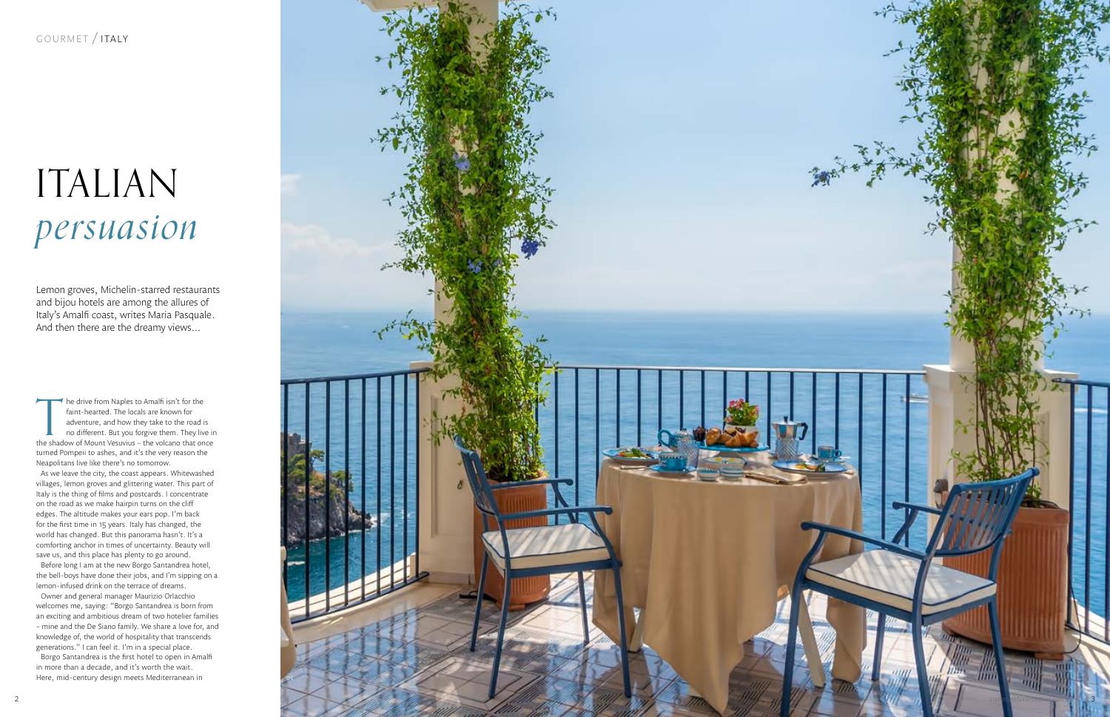# ITALIAN *persuasion*

Lemon groves, Michelin-starred restaurants and bijou hotels are among the allures of Italy's Amalfi coast, writes Maria Pasquale. And then there are the dreamy views…

The drive from Naples to Amalfi isn't for the<br>faint-hearted. The locals are known for<br>adventure, and how they take to the road is<br>no different. But you forgive them. They live in<br>the shadow of Mount Vesuvius - the volcano he drive from Naples to Amalfi isn't for the faint-hearted. The locals are known for adventure, and how they take to the road is no different. But you forgive them. They live in turned Pompeii to ashes, and it's the very reason the Neapolitans live like there's no tomorrow.

Owner and general manager Maurizio Orlacchio welcomes me, saying: "Borgo Santandrea is born from an exciting and ambitious dream of two hotelier families – mine and the De Siano family. We share a love for, and knowledge of, the world of hospitality that transcends generations." I can feel it. I'm in a special place. Borgo Santandrea is the first hotel to open in Amalfi in more than a decade, and it's worth the wait. Here, mid-century design meets Mediterranean in

As we leave the city, the coast appears. Whitewashed villages, lemon groves and glittering water. This part of Italy is the thing of films and postcards. I concentrate on the road as we make hairpin turns on the cliff edges. The altitude makes your ears pop. I'm back for the first time in 15 years. Italy has changed, the world has changed. But this panorama hasn't. It's a comforting anchor in times of uncertainty. Beauty will save us, and this place has plenty to go around.

Before long I am at the new Borgo Santandrea hotel, the bell-boys have done their jobs, and I'm sipping on a lemon-infused drink on the terrace of dreams.

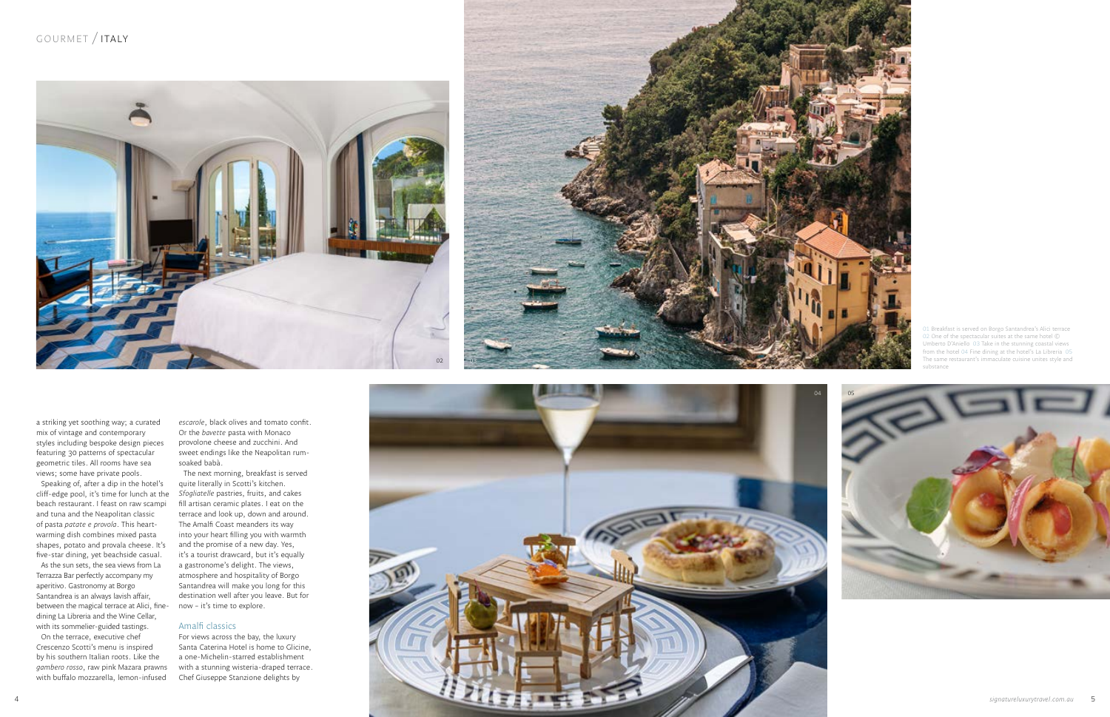a striking yet soothing way; a curated mix of vintage and contemporary styles including bespoke design pieces featuring 30 patterns of spectacular geometric tiles. All rooms have sea views; some have private pools.

Speaking of, after a dip in the hotel's cliff-edge pool, it's time for lunch at the beach restaurant. I feast on raw scampi and tuna and the Neapolitan classic of pasta *patate e provola*. This heartwarming dish combines mixed pasta shapes, potato and provala cheese. It's five-star dining, yet beachside casual.

As the sun sets, the sea views from La Terrazza Bar perfectly accompany my aperitivo. Gastronomy at Borgo Santandrea is an always lavish affair, between the magical terrace at Alici, fine-now – it's time to explore. dining La Libreria and the Wine Cellar, with its sommelier-guided tastings. On the terrace, executive chef

Crescenzo Scotti's menu is inspired by his southern Italian roots. Like the *gambero rosso*, raw pink Mazara prawns with buffalo mozzarella, lemon-infused

*escarole*, black olives and tomato confit. Or the *bavette* pasta with Monaco provolone cheese and zucchini. And sweet endings like the Neapolitan rumsoaked babà.

The next morning, breakfast is served quite literally in Scotti's kitchen. *Sfogliatelle* pastries, fruits, and cakes fill artisan ceramic plates. I eat on the terrace and look up, down and around. The Amalfi Coast meanders its way into your heart filling you with warmth and the promise of a new day. Yes, it's a tourist drawcard, but it's equally a gastronome's delight. The views, atmosphere and hospitality of Borgo Santandrea will make you long for this destination well after you leave. But for

#### Amalfi classics

For views across the bay, the luxury Santa Caterina Hotel is home to Glicine, a one-Michelin-starred establishment with a stunning wisteria-draped terrace. Chef Giuseppe Stanzione delights by

01 Breakfast is served on Borgo Santandrea's Alici terrace 02 One of the spectacular suites at the same hotel © Umberto D'Aniello 03 Take in the stunning coastal views from the hotel 04 Fine dining at the hotel's La Libreria 05 The same restaurant's immaculate cuisine unites style and substance







## GOURMET / ITALY